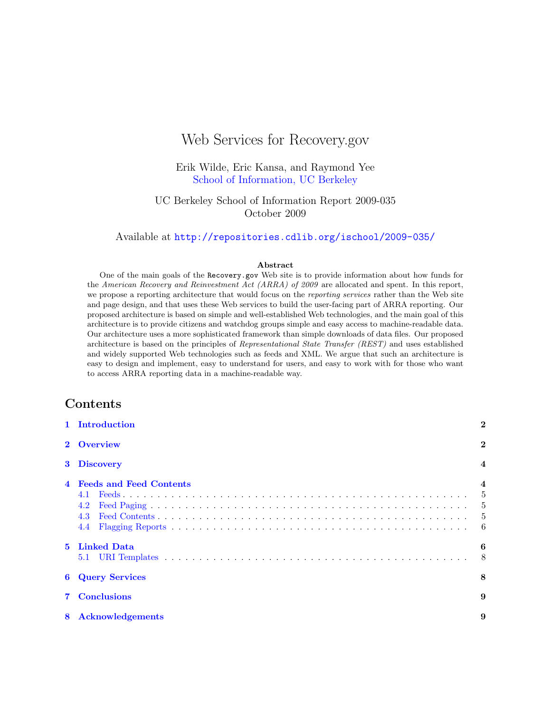# Web Services for Recovery.gov

Erik Wilde, Eric Kansa, and Raymond Yee [School of Information, UC Berkeley](http://www.ischool.berkeley.edu/)

UC Berkeley School of Information Report 2009-035 October 2009

Available at <http://repositories.cdlib.org/ischool/2009-035/>

#### Abstract

One of the main goals of the Recovery.gov Web site is to provide information about how funds for the American Recovery and Reinvestment Act (ARRA) of 2009 are allocated and spent. In this report, we propose a reporting architecture that would focus on the reporting services rather than the Web site and page design, and that uses these Web services to build the user-facing part of ARRA reporting. Our proposed architecture is based on simple and well-established Web technologies, and the main goal of this architecture is to provide citizens and watchdog groups simple and easy access to machine-readable data. Our architecture uses a more sophisticated framework than simple downloads of data files. Our proposed architecture is based on the principles of Representational State Transfer (REST) and uses established and widely supported Web technologies such as feeds and XML. We argue that such an architecture is easy to design and implement, easy to understand for users, and easy to work with for those who want to access ARRA reporting data in a machine-readable way.

# Contents

|             | 1 Introduction                                             | $\bf{2}$ |
|-------------|------------------------------------------------------------|----------|
|             | 2 Overview                                                 | $\bf{2}$ |
|             | 3 Discovery                                                |          |
|             | <b>Feeds and Feed Contents</b><br>4.1<br>4.2<br>4.3<br>4.4 |          |
| $5^{\circ}$ | Linked Data                                                | 6        |
|             | <b>6</b> Query Services                                    | 8        |
|             | <b>7</b> Conclusions                                       | 9        |
| 8           | <b>Acknowledgements</b>                                    | 9        |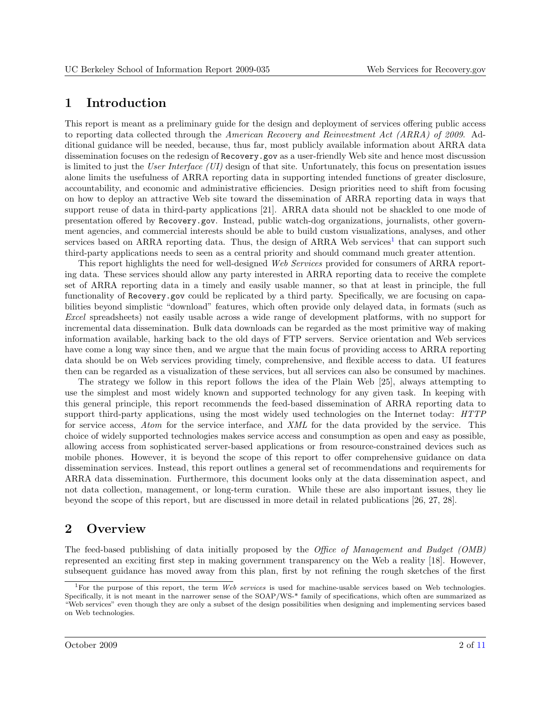# <span id="page-1-0"></span>1 Introduction

This report is meant as a preliminary guide for the design and deployment of services offering public access to reporting data collected through the American Recovery and Reinvestment Act (ARRA) of 2009. Additional guidance will be needed, because, thus far, most publicly available information about ARRA data dissemination focuses on the redesign of Recovery.gov as a user-friendly Web site and hence most discussion is limited to just the User Interface (UI) design of that site. Unfortunately, this focus on presentation issues alone limits the usefulness of ARRA reporting data in supporting intended functions of greater disclosure, accountability, and economic and administrative efficiencies. Design priorities need to shift from focusing on how to deploy an attractive Web site toward the dissemination of ARRA reporting data in ways that support reuse of data in third-party applications [\[21\]](#page-9-0). ARRA data should not be shackled to one mode of presentation offered by Recovery.gov. Instead, public watch-dog organizations, journalists, other government agencies, and commercial interests should be able to build custom visualizations, analyses, and other services based on ARRA reporting data. Thus, the design of ARRA Web services<sup>1</sup> that can support such third-party applications needs to seen as a central priority and should command much greater attention.

This report highlights the need for well-designed Web Services provided for consumers of ARRA reporting data. These services should allow any party interested in ARRA reporting data to receive the complete set of ARRA reporting data in a timely and easily usable manner, so that at least in principle, the full functionality of Recovery.gov could be replicated by a third party. Specifically, we are focusing on capabilities beyond simplistic "download" features, which often provide only delayed data, in formats (such as Excel spreadsheets) not easily usable across a wide range of development platforms, with no support for incremental data dissemination. Bulk data downloads can be regarded as the most primitive way of making information available, harking back to the old days of FTP servers. Service orientation and Web services have come a long way since then, and we argue that the main focus of providing access to ARRA reporting data should be on Web services providing timely, comprehensive, and flexible access to data. UI features then can be regarded as a visualization of these services, but all services can also be consumed by machines.

The strategy we follow in this report follows the idea of the Plain Web [\[25\]](#page-10-0), always attempting to use the simplest and most widely known and supported technology for any given task. In keeping with this general principle, this report recommends the feed-based dissemination of ARRA reporting data to support third-party applications, using the most widely used technologies on the Internet today: HTTP for service access, Atom for the service interface, and XML for the data provided by the service. This choice of widely supported technologies makes service access and consumption as open and easy as possible, allowing access from sophisticated server-based applications or from resource-constrained devices such as mobile phones. However, it is beyond the scope of this report to offer comprehensive guidance on data dissemination services. Instead, this report outlines a general set of recommendations and requirements for ARRA data dissemination. Furthermore, this document looks only at the data dissemination aspect, and not data collection, management, or long-term curation. While these are also important issues, they lie beyond the scope of this report, but are discussed in more detail in related publications [\[26,](#page-10-0) [27,](#page-10-0) [28\]](#page-10-0).

# 2 Overview

The feed-based publishing of data initially proposed by the Office of Management and Budget (OMB) represented an exciting first step in making government transparency on the Web a reality [\[18\]](#page-9-0). However, subsequent guidance has moved away from this plan, first by not refining the rough sketches of the first

<sup>&</sup>lt;sup>1</sup>For the purpose of this report, the term Web services is used for machine-usable services based on Web technologies. Specifically, it is not meant in the narrower sense of the SOAP/WS-\* family of specifications, which often are summarized as "Web services" even though they are only a subset of the design possibilities when designing and implementing services based on Web technologies.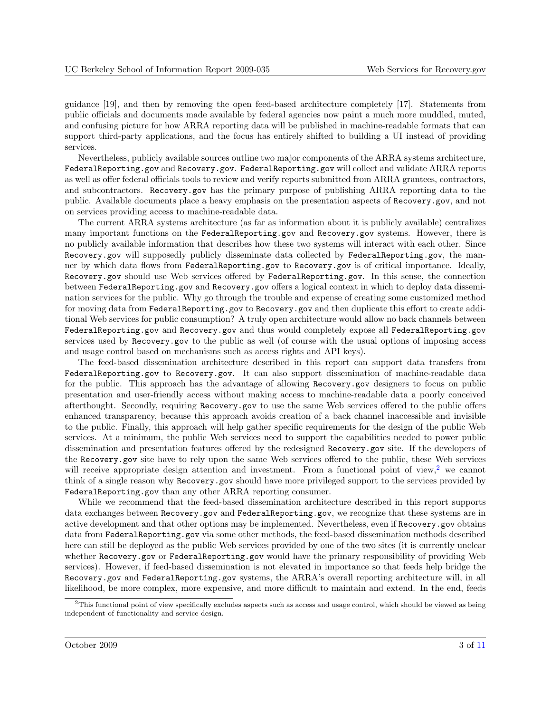guidance [\[19\]](#page-9-0), and then by removing the open feed-based architecture completely [\[17\]](#page-9-0). Statements from public officials and documents made available by federal agencies now paint a much more muddled, muted, and confusing picture for how ARRA reporting data will be published in machine-readable formats that can support third-party applications, and the focus has entirely shifted to building a UI instead of providing services.

Nevertheless, publicly available sources outline two major components of the ARRA systems architecture, FederalReporting.gov and Recovery.gov. FederalReporting.gov will collect and validate ARRA reports as well as offer federal officials tools to review and verify reports submitted from ARRA grantees, contractors, and subcontractors. Recovery.gov has the primary purpose of publishing ARRA reporting data to the public. Available documents place a heavy emphasis on the presentation aspects of Recovery.gov, and not on services providing access to machine-readable data.

The current ARRA systems architecture (as far as information about it is publicly available) centralizes many important functions on the FederalReporting.gov and Recovery.gov systems. However, there is no publicly available information that describes how these two systems will interact with each other. Since Recovery.gov will supposedly publicly disseminate data collected by FederalReporting.gov, the manner by which data flows from FederalReporting.gov to Recovery.gov is of critical importance. Ideally, Recovery.gov should use Web services offered by FederalReporting.gov. In this sense, the connection between FederalReporting.gov and Recovery.gov offers a logical context in which to deploy data dissemination services for the public. Why go through the trouble and expense of creating some customized method for moving data from FederalReporting.gov to Recovery.gov and then duplicate this effort to create additional Web services for public consumption? A truly open architecture would allow no back channels between FederalReporting.gov and Recovery.gov and thus would completely expose all FederalReporting.gov services used by Recovery.gov to the public as well (of course with the usual options of imposing access and usage control based on mechanisms such as access rights and API keys).

The feed-based dissemination architecture described in this report can support data transfers from FederalReporting.gov to Recovery.gov. It can also support dissemination of machine-readable data for the public. This approach has the advantage of allowing Recovery.gov designers to focus on public presentation and user-friendly access without making access to machine-readable data a poorly conceived afterthought. Secondly, requiring Recovery.gov to use the same Web services offered to the public offers enhanced transparency, because this approach avoids creation of a back channel inaccessible and invisible to the public. Finally, this approach will help gather specific requirements for the design of the public Web services. At a minimum, the public Web services need to support the capabilities needed to power public dissemination and presentation features offered by the redesigned Recovery.gov site. If the developers of the Recovery.gov site have to rely upon the same Web services offered to the public, these Web services will receive appropriate design attention and investment. From a functional point of view,<sup>2</sup> we cannot think of a single reason why Recovery.gov should have more privileged support to the services provided by FederalReporting.gov than any other ARRA reporting consumer.

While we recommend that the feed-based dissemination architecture described in this report supports data exchanges between Recovery.gov and FederalReporting.gov, we recognize that these systems are in active development and that other options may be implemented. Nevertheless, even if Recovery.gov obtains data from FederalReporting.gov via some other methods, the feed-based dissemination methods described here can still be deployed as the public Web services provided by one of the two sites (it is currently unclear whether Recovery.gov or FederalReporting.gov would have the primary responsibility of providing Web services). However, if feed-based dissemination is not elevated in importance so that feeds help bridge the Recovery.gov and FederalReporting.gov systems, the ARRA's overall reporting architecture will, in all likelihood, be more complex, more expensive, and more difficult to maintain and extend. In the end, feeds

 $2$ This functional point of view specifically excludes aspects such as access and usage control, which should be viewed as being independent of functionality and service design.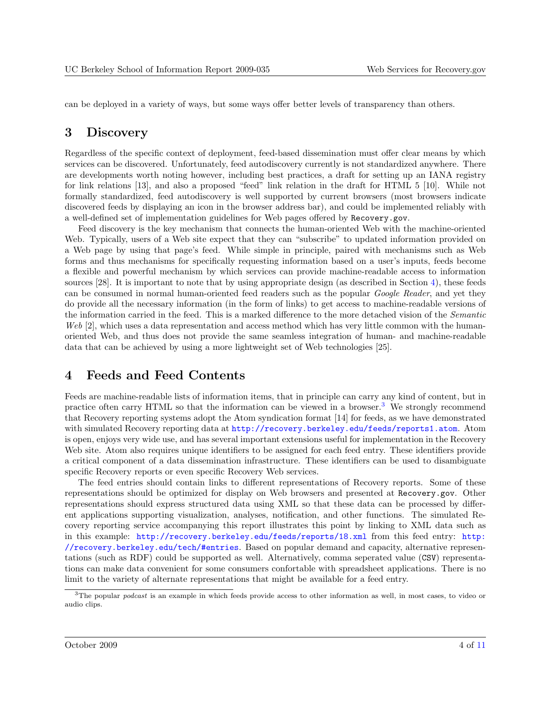<span id="page-3-0"></span>can be deployed in a variety of ways, but some ways offer better levels of transparency than others.

### 3 Discovery

Regardless of the specific context of deployment, feed-based dissemination must offer clear means by which services can be discovered. Unfortunately, feed autodiscovery currently is not standardized anywhere. There are developments worth noting however, including best practices, a draft for setting up an IANA registry for link relations [\[13\]](#page-9-0), and also a proposed "feed" link relation in the draft for HTML 5 [\[10\]](#page-9-0). While not formally standardized, feed autodiscovery is well supported by current browsers (most browsers indicate discovered feeds by displaying an icon in the browser address bar), and could be implemented reliably with a well-defined set of implementation guidelines for Web pages offered by Recovery.gov.

Feed discovery is the key mechanism that connects the human-oriented Web with the machine-oriented Web. Typically, users of a Web site expect that they can "subscribe" to updated information provided on a Web page by using that page's feed. While simple in principle, paired with mechanisms such as Web forms and thus mechanisms for specifically requesting information based on a user's inputs, feeds become a flexible and powerful mechanism by which services can provide machine-readable access to information sources [\[28\]](#page-10-0). It is important to note that by using appropriate design (as described in Section 4), these feeds can be consumed in normal human-oriented feed readers such as the popular Google Reader, and yet they do provide all the necessary information (in the form of links) to get access to machine-readable versions of the information carried in the feed. This is a marked difference to the more detached vision of the Semantic Web [\[2\]](#page-8-0), which uses a data representation and access method which has very little common with the humanoriented Web, and thus does not provide the same seamless integration of human- and machine-readable data that can be achieved by using a more lightweight set of Web technologies [\[25\]](#page-10-0).

# 4 Feeds and Feed Contents

Feeds are machine-readable lists of information items, that in principle can carry any kind of content, but in practice often carry HTML so that the information can be viewed in a browser.<sup>3</sup> We strongly recommend that Recovery reporting systems adopt the Atom syndication format [\[14\]](#page-9-0) for feeds, as we have demonstrated with simulated Recovery reporting data at <http://recovery.berkeley.edu/feeds/reports1.atom>. Atom is open, enjoys very wide use, and has several important extensions useful for implementation in the Recovery Web site. Atom also requires unique identifiers to be assigned for each feed entry. These identifiers provide a critical component of a data dissemination infrastructure. These identifiers can be used to disambiguate specific Recovery reports or even specific Recovery Web services.

The feed entries should contain links to different representations of Recovery reports. Some of these representations should be optimized for display on Web browsers and presented at Recovery.gov. Other representations should express structured data using XML so that these data can be processed by different applications supporting visualization, analyses, notification, and other functions. The simulated Recovery reporting service accompanying this report illustrates this point by linking to XML data such as in this example: <http://recovery.berkeley.edu/feeds/reports/18.xml> from this feed entry: [http:](http://recovery.berkeley.edu/tech/#entries) [//recovery.berkeley.edu/tech/#entries](http://recovery.berkeley.edu/tech/#entries). Based on popular demand and capacity, alternative representations (such as RDF) could be supported as well. Alternatively, comma seperated value (CSV) representations can make data convenient for some consumers confortable with spreadsheet applications. There is no limit to the variety of alternate representations that might be available for a feed entry.

 $3$ The popular *podcast* is an example in which feeds provide access to other information as well, in most cases, to video or audio clips.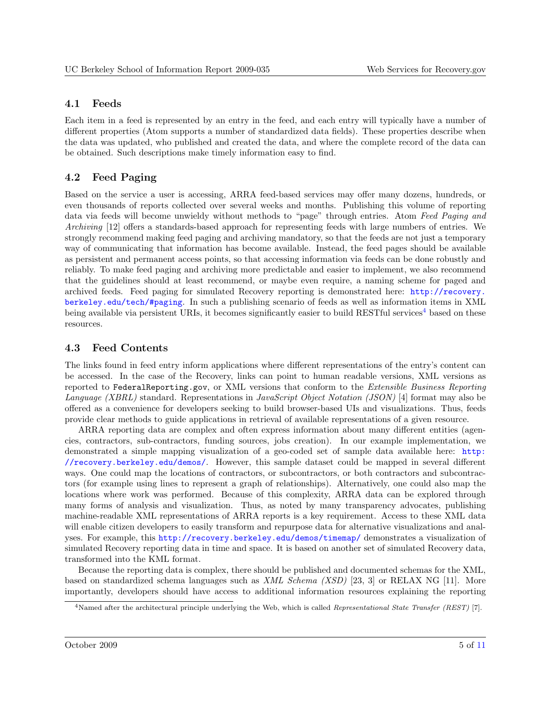#### <span id="page-4-0"></span>4.1 Feeds

Each item in a feed is represented by an entry in the feed, and each entry will typically have a number of different properties (Atom supports a number of standardized data fields). These properties describe when the data was updated, who published and created the data, and where the complete record of the data can be obtained. Such descriptions make timely information easy to find.

### 4.2 Feed Paging

Based on the service a user is accessing, ARRA feed-based services may offer many dozens, hundreds, or even thousands of reports collected over several weeks and months. Publishing this volume of reporting data via feeds will become unwieldy without methods to "page" through entries. Atom Feed Paging and Archiving [\[12\]](#page-9-0) offers a standards-based approach for representing feeds with large numbers of entries. We strongly recommend making feed paging and archiving mandatory, so that the feeds are not just a temporary way of communicating that information has become available. Instead, the feed pages should be available as persistent and permanent access points, so that accessing information via feeds can be done robustly and reliably. To make feed paging and archiving more predictable and easier to implement, we also recommend that the guidelines should at least recommend, or maybe even require, a naming scheme for paged and archived feeds. Feed paging for simulated Recovery reporting is demonstrated here: [http://recovery.](http://recovery.berkeley.edu/tech/#paging) [berkeley.edu/tech/#paging](http://recovery.berkeley.edu/tech/#paging). In such a publishing scenario of feeds as well as information items in XML being available via persistent URIs, it becomes significantly easier to build RESTful services<sup>4</sup> based on these resources.

### 4.3 Feed Contents

The links found in feed entry inform applications where different representations of the entry's content can be accessed. In the case of the Recovery, links can point to human readable versions, XML versions as reported to FederalReporting.gov, or XML versions that conform to the Extensible Business Reporting Language (XBRL) standard. Representations in JavaScript Object Notation (JSON) [\[4\]](#page-9-0) format may also be offered as a convenience for developers seeking to build browser-based UIs and visualizations. Thus, feeds provide clear methods to guide applications in retrieval of available representations of a given resource.

ARRA reporting data are complex and often express information about many different entities (agencies, contractors, sub-contractors, funding sources, jobs creation). In our example implementation, we demonstrated a simple mapping visualization of a geo-coded set of sample data available here: [http:](http://recovery.berkeley.edu/demos/) [//recovery.berkeley.edu/demos/](http://recovery.berkeley.edu/demos/). However, this sample dataset could be mapped in several different ways. One could map the locations of contractors, or subcontractors, or both contractors and subcontractors (for example using lines to represent a graph of relationships). Alternatively, one could also map the locations where work was performed. Because of this complexity, ARRA data can be explored through many forms of analysis and visualization. Thus, as noted by many transparency advocates, publishing machine-readable XML representations of ARRA reports is a key requirement. Access to these XML data will enable citizen developers to easily transform and repurpose data for alternative visualizations and analyses. For example, this <http://recovery.berkeley.edu/demos/timemap/> demonstrates a visualization of simulated Recovery reporting data in time and space. It is based on another set of simulated Recovery data, transformed into the KML format.

Because the reporting data is complex, there should be published and documented schemas for the XML, based on standardized schema languages such as XML Schema (XSD) [\[23,](#page-10-0) [3\]](#page-8-0) or RELAX NG [\[11\]](#page-9-0). More importantly, developers should have access to additional information resources explaining the reporting

 $4$ Named after the architectural principle underlying the Web, which is called Representational State Transfer (REST) [\[7\]](#page-9-0).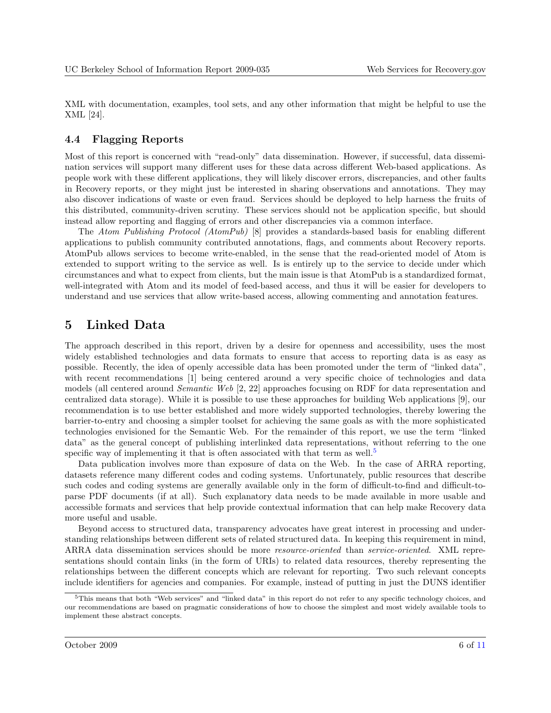<span id="page-5-0"></span>XML with documentation, examples, tool sets, and any other information that might be helpful to use the XML [\[24\]](#page-10-0).

#### 4.4 Flagging Reports

Most of this report is concerned with "read-only" data dissemination. However, if successful, data dissemination services will support many different uses for these data across different Web-based applications. As people work with these different applications, they will likely discover errors, discrepancies, and other faults in Recovery reports, or they might just be interested in sharing observations and annotations. They may also discover indications of waste or even fraud. Services should be deployed to help harness the fruits of this distributed, community-driven scrutiny. These services should not be application specific, but should instead allow reporting and flagging of errors and other discrepancies via a common interface.

The Atom Publishing Protocol (AtomPub) [\[8\]](#page-9-0) provides a standards-based basis for enabling different applications to publish community contributed annotations, flags, and comments about Recovery reports. AtomPub allows services to become write-enabled, in the sense that the read-oriented model of Atom is extended to support writing to the service as well. Is is entirely up to the service to decide under which circumstances and what to expect from clients, but the main issue is that AtomPub is a standardized format, well-integrated with Atom and its model of feed-based access, and thus it will be easier for developers to understand and use services that allow write-based access, allowing commenting and annotation features.

# 5 Linked Data

The approach described in this report, driven by a desire for openness and accessibility, uses the most widely established technologies and data formats to ensure that access to reporting data is as easy as possible. Recently, the idea of openly accessible data has been promoted under the term of "linked data", with recent recommendations [\[1\]](#page-8-0) being centered around a very specific choice of technologies and data models (all centered around Semantic Web [\[2,](#page-8-0) [22\]](#page-10-0) approaches focusing on RDF for data representation and centralized data storage). While it is possible to use these approaches for building Web applications [\[9\]](#page-9-0), our recommendation is to use better established and more widely supported technologies, thereby lowering the barrier-to-entry and choosing a simpler toolset for achieving the same goals as with the more sophisticated technologies envisioned for the Semantic Web. For the remainder of this report, we use the term "linked data" as the general concept of publishing interlinked data representations, without referring to the one specific way of implementing it that is often associated with that term as well.<sup>5</sup>

Data publication involves more than exposure of data on the Web. In the case of ARRA reporting, datasets reference many different codes and coding systems. Unfortunately, public resources that describe such codes and coding systems are generally available only in the form of difficult-to-find and difficult-toparse PDF documents (if at all). Such explanatory data needs to be made available in more usable and accessible formats and services that help provide contextual information that can help make Recovery data more useful and usable.

Beyond access to structured data, transparency advocates have great interest in processing and understanding relationships between different sets of related structured data. In keeping this requirement in mind, ARRA data dissemination services should be more resource-oriented than service-oriented. XML representations should contain links (in the form of URIs) to related data resources, thereby representing the relationships between the different concepts which are relevant for reporting. Two such relevant concepts include identifiers for agencies and companies. For example, instead of putting in just the DUNS identifier

<sup>&</sup>lt;sup>5</sup>This means that both "Web services" and "linked data" in this report do not refer to any specific technology choices, and our recommendations are based on pragmatic considerations of how to choose the simplest and most widely available tools to implement these abstract concepts.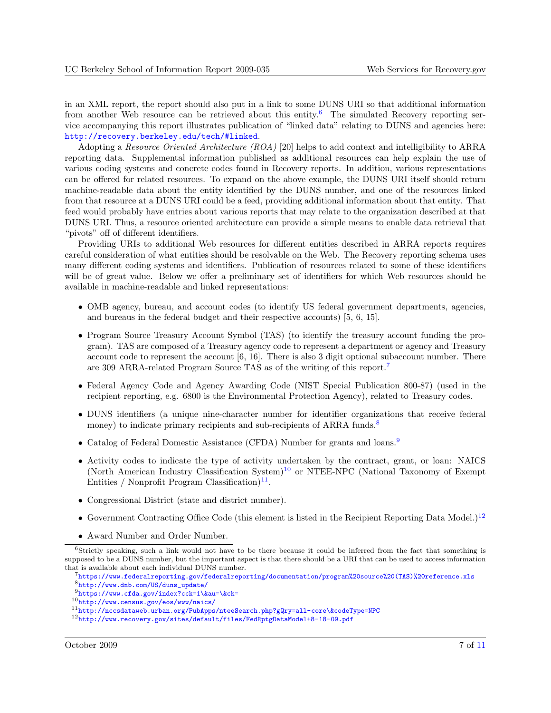in an XML report, the report should also put in a link to some DUNS URI so that additional information from another Web resource can be retrieved about this entity.<sup>6</sup> The simulated Recovery reporting service accompanying this report illustrates publication of "linked data" relating to DUNS and agencies here: <http://recovery.berkeley.edu/tech/#linked>.

Adopting a Resource Oriented Architecture (ROA) [\[20\]](#page-9-0) helps to add context and intelligibility to ARRA reporting data. Supplemental information published as additional resources can help explain the use of various coding systems and concrete codes found in Recovery reports. In addition, various representations can be offered for related resources. To expand on the above example, the DUNS URI itself should return machine-readable data about the entity identified by the DUNS number, and one of the resources linked from that resource at a DUNS URI could be a feed, providing additional information about that entity. That feed would probably have entries about various reports that may relate to the organization described at that DUNS URI. Thus, a resource oriented architecture can provide a simple means to enable data retrieval that "pivots" off of different identifiers.

Providing URIs to additional Web resources for different entities described in ARRA reports requires careful consideration of what entities should be resolvable on the Web. The Recovery reporting schema uses many different coding systems and identifiers. Publication of resources related to some of these identifiers will be of great value. Below we offer a preliminary set of identifiers for which Web resources should be available in machine-readable and linked representations:

- OMB agency, bureau, and account codes (to identify US federal government departments, agencies, and bureaus in the federal budget and their respective accounts) [\[5,](#page-9-0) [6,](#page-9-0) [15\]](#page-9-0).
- Program Source Treasury Account Symbol (TAS) (to identify the treasury account funding the program). TAS are composed of a Treasury agency code to represent a department or agency and Treasury account code to represent the account [\[6,](#page-9-0) [16\]](#page-9-0). There is also 3 digit optional subaccount number. There are 309 ARRA-related Program Source TAS as of the writing of this report.<sup>7</sup>
- Federal Agency Code and Agency Awarding Code (NIST Special Publication 800-87) (used in the recipient reporting, e.g. 6800 is the Environmental Protection Agency), related to Treasury codes.
- DUNS identifiers (a unique nine-character number for identifier organizations that receive federal money) to indicate primary recipients and sub-recipients of ARRA funds.<sup>8</sup>
- Catalog of Federal Domestic Assistance (CFDA) Number for grants and loans.<sup>9</sup>
- Activity codes to indicate the type of activity undertaken by the contract, grant, or loan: NAICS (North American Industry Classification System)<sup>10</sup> or NTEE-NPC (National Taxonomy of Exempt Entities / Nonprofit Program Classification)<sup>11</sup>.
- Congressional District (state and district number).
- Government Contracting Office Code (this element is listed in the Recipient Reporting Data Model.)<sup>12</sup>
- Award Number and Order Number.

<sup>6</sup>Strictly speaking, such a link would not have to be there because it could be inferred from the fact that something is supposed to be a DUNS number, but the important aspect is that there should be a URI that can be used to access information that is available about each individual DUNS number.

<sup>7</sup>[https://www.federalreporting.gov/federalreporting/documentation/program%20source%20\(TAS\)%20reference.xls](https://www.federalreporting.gov/federalreporting/documentation/program%20source%20(TAS)%20reference.xls) <sup>8</sup>[http://www.dnb.com/US/duns\\_update/](http://www.dnb.com/US/duns_update/)

<sup>9</sup><https://www.cfda.gov/index?cck=1\&au=\&ck=>

<sup>10</sup><http://www.census.gov/eos/www/naics/>

<sup>11</sup><http://nccsdataweb.urban.org/PubApps/nteeSearch.php?gQry=all-core\&codeType=NPC>

<sup>12</sup><http://www.recovery.gov/sites/default/files/FedRptgDataModel+8-18-09.pdf>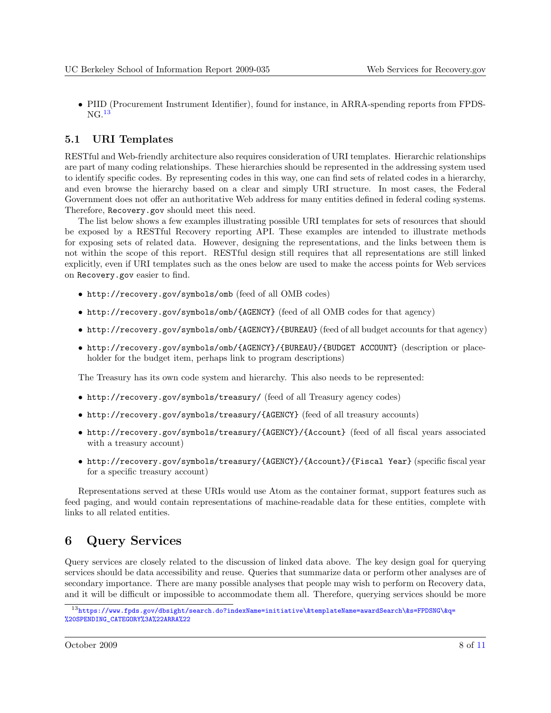<span id="page-7-0"></span>• PIID (Procurement Instrument Identifier), found for instance, in ARRA-spending reports from FPDS- $NG.<sup>13</sup>$ 

### 5.1 URI Templates

RESTful and Web-friendly architecture also requires consideration of URI templates. Hierarchic relationships are part of many coding relationships. These hierarchies should be represented in the addressing system used to identify specific codes. By representing codes in this way, one can find sets of related codes in a hierarchy, and even browse the hierarchy based on a clear and simply URI structure. In most cases, the Federal Government does not offer an authoritative Web address for many entities defined in federal coding systems. Therefore, Recovery.gov should meet this need.

The list below shows a few examples illustrating possible URI templates for sets of resources that should be exposed by a RESTful Recovery reporting API. These examples are intended to illustrate methods for exposing sets of related data. However, designing the representations, and the links between them is not within the scope of this report. RESTful design still requires that all representations are still linked explicitly, even if URI templates such as the ones below are used to make the access points for Web services on Recovery.gov easier to find.

- http://recovery.gov/symbols/omb (feed of all OMB codes)
- http://recovery.gov/symbols/omb/{AGENCY} (feed of all OMB codes for that agency)
- http://recovery.gov/symbols/omb/{AGENCY}/{BUREAU} (feed of all budget accounts for that agency)
- http://recovery.gov/symbols/omb/{AGENCY}/{BUREAU}/{BUDGET ACCOUNT} (description or placeholder for the budget item, perhaps link to program descriptions)

The Treasury has its own code system and hierarchy. This also needs to be represented:

- http://recovery.gov/symbols/treasury/ (feed of all Treasury agency codes)
- http://recovery.gov/symbols/treasury/{AGENCY} (feed of all treasury accounts)
- http://recovery.gov/symbols/treasury/{AGENCY}/{Account} (feed of all fiscal years associated with a treasury account)
- http://recovery.gov/symbols/treasury/{AGENCY}/{Account}/{Fiscal Year} (specific fiscal year for a specific treasury account)

Representations served at these URIs would use Atom as the container format, support features such as feed paging, and would contain representations of machine-readable data for these entities, complete with links to all related entities.

# 6 Query Services

Query services are closely related to the discussion of linked data above. The key design goal for querying services should be data accessibility and reuse. Queries that summarize data or perform other analyses are of secondary importance. There are many possible analyses that people may wish to perform on Recovery data, and it will be difficult or impossible to accommodate them all. Therefore, querying services should be more

<sup>13</sup>[https://www.fpds.gov/dbsight/search.do?indexName=initiative\&templateName=awardSearch\&s=FPDSNG\&q=](https://www.fpds.gov/dbsight/search.do?indexName=initiative\&templateName=awardSearch\&s=FPDSNG\&q=%20SPENDING_CATEGORY%3A%22ARRA%22) [%20SPENDING\\_CATEGORY%3A%22ARRA%22](https://www.fpds.gov/dbsight/search.do?indexName=initiative\&templateName=awardSearch\&s=FPDSNG\&q=%20SPENDING_CATEGORY%3A%22ARRA%22)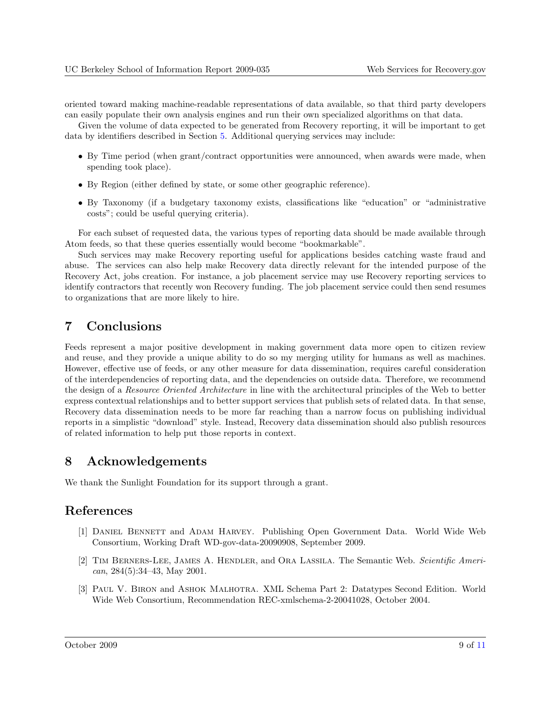<span id="page-8-0"></span>oriented toward making machine-readable representations of data available, so that third party developers can easily populate their own analysis engines and run their own specialized algorithms on that data.

Given the volume of data expected to be generated from Recovery reporting, it will be important to get data by identifiers described in Section [5.](#page-5-0) Additional querying services may include:

- By Time period (when grant/contract opportunities were announced, when awards were made, when spending took place).
- By Region (either defined by state, or some other geographic reference).
- By Taxonomy (if a budgetary taxonomy exists, classifications like "education" or "administrative costs"; could be useful querying criteria).

For each subset of requested data, the various types of reporting data should be made available through Atom feeds, so that these queries essentially would become "bookmarkable".

Such services may make Recovery reporting useful for applications besides catching waste fraud and abuse. The services can also help make Recovery data directly relevant for the intended purpose of the Recovery Act, jobs creation. For instance, a job placement service may use Recovery reporting services to identify contractors that recently won Recovery funding. The job placement service could then send resumes to organizations that are more likely to hire.

# 7 Conclusions

Feeds represent a major positive development in making government data more open to citizen review and reuse, and they provide a unique ability to do so my merging utility for humans as well as machines. However, effective use of feeds, or any other measure for data dissemination, requires careful consideration of the interdependencies of reporting data, and the dependencies on outside data. Therefore, we recommend the design of a Resource Oriented Architecture in line with the architectural principles of the Web to better express contextual relationships and to better support services that publish sets of related data. In that sense, Recovery data dissemination needs to be more far reaching than a narrow focus on publishing individual reports in a simplistic "download" style. Instead, Recovery data dissemination should also publish resources of related information to help put those reports in context.

# 8 Acknowledgements

We thank the Sunlight Foundation for its support through a grant.

# References

- [1] Daniel Bennett and Adam Harvey. Publishing Open Government Data. World Wide Web Consortium, Working Draft WD-gov-data-20090908, September 2009.
- [2] Tim Berners-Lee, James A. Hendler, and Ora Lassila. The Semantic Web. Scientific American, 284(5):34–43, May 2001.
- [3] Paul V. Biron and Ashok Malhotra. XML Schema Part 2: Datatypes Second Edition. World Wide Web Consortium, Recommendation REC-xmlschema-2-20041028, October 2004.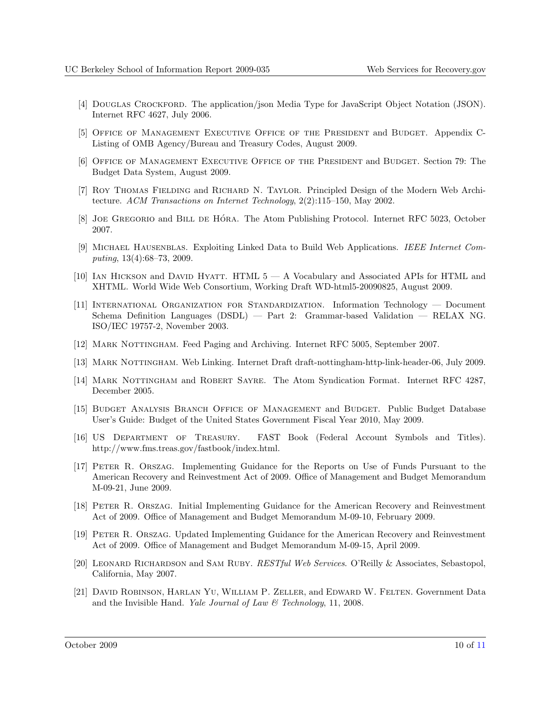- <span id="page-9-0"></span>[4] DOUGLAS CROCKFORD. The application/json Media Type for JavaScript Object Notation (JSON). Internet RFC 4627, July 2006.
- [5] Office of Management Executive Office of the President and Budget. Appendix C-Listing of OMB Agency/Bureau and Treasury Codes, August 2009.
- [6] Office of Management Executive Office of the President and Budget. Section 79: The Budget Data System, August 2009.
- [7] Roy Thomas Fielding and Richard N. Taylor. Principled Design of the Modern Web Architecture. ACM Transactions on Internet Technology, 2(2):115–150, May 2002.
- [8] JOE GREGORIO and BILL DE HÓRA. The Atom Publishing Protocol. Internet RFC 5023, October 2007.
- [9] MICHAEL HAUSENBLAS. Exploiting Linked Data to Build Web Applications. IEEE Internet Computing, 13(4):68–73, 2009.
- [10] Ian Hickson and David Hyatt. HTML 5 A Vocabulary and Associated APIs for HTML and XHTML. World Wide Web Consortium, Working Draft WD-html5-20090825, August 2009.
- [11] International Organization for Standardization. Information Technology Document Schema Definition Languages (DSDL) — Part 2: Grammar-based Validation — RELAX NG. ISO/IEC 19757-2, November 2003.
- [12] MARK NOTTINGHAM. Feed Paging and Archiving. Internet RFC 5005, September 2007.
- [13] MARK NOTTINGHAM. Web Linking. Internet Draft draft-nottingham-http-link-header-06, July 2009.
- [14] MARK NOTTINGHAM and ROBERT SAYRE. The Atom Syndication Format. Internet RFC 4287, December 2005.
- [15] Budget Analysis Branch Office of Management and Budget. Public Budget Database User's Guide: Budget of the United States Government Fiscal Year 2010, May 2009.
- [16] US Department of Treasury. FAST Book (Federal Account Symbols and Titles). http://www.fms.treas.gov/fastbook/index.html.
- [17] Peter R. Orszag. Implementing Guidance for the Reports on Use of Funds Pursuant to the American Recovery and Reinvestment Act of 2009. Office of Management and Budget Memorandum M-09-21, June 2009.
- [18] Peter R. Orszag. Initial Implementing Guidance for the American Recovery and Reinvestment Act of 2009. Office of Management and Budget Memorandum M-09-10, February 2009.
- [19] Peter R. Orszag. Updated Implementing Guidance for the American Recovery and Reinvestment Act of 2009. Office of Management and Budget Memorandum M-09-15, April 2009.
- [20] LEONARD RICHARDSON and SAM RUBY. RESTful Web Services. O'Reilly & Associates, Sebastopol, California, May 2007.
- [21] David Robinson, Harlan Yu, William P. Zeller, and Edward W. Felten. Government Data and the Invisible Hand. Yale Journal of Law  $\mathcal C$  Technology, 11, 2008.

October 2009 10 of [11](#page-10-0)